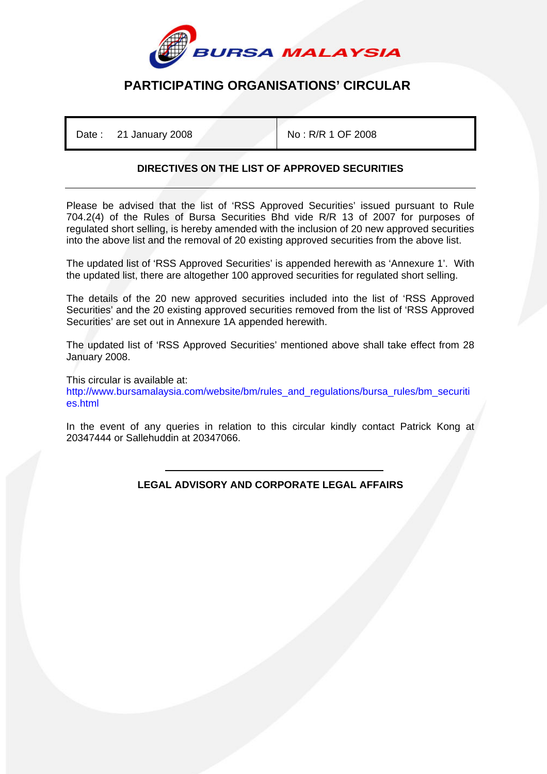

## **PARTICIPATING ORGANISATIONS' CIRCULAR**

Date : 21 January 2008 No : R/R 1 OF 2008

## **DIRECTIVES ON THE LIST OF APPROVED SECURITIES**

Please be advised that the list of 'RSS Approved Securities' issued pursuant to Rule 704.2(4) of the Rules of Bursa Securities Bhd vide R/R 13 of 2007 for purposes of regulated short selling, is hereby amended with the inclusion of 20 new approved securities into the above list and the removal of 20 existing approved securities from the above list.

The updated list of 'RSS Approved Securities' is appended herewith as 'Annexure 1'. With the updated list, there are altogether 100 approved securities for regulated short selling.

The details of the 20 new approved securities included into the list of 'RSS Approved Securities' and the 20 existing approved securities removed from the list of 'RSS Approved Securities' are set out in Annexure 1A appended herewith.

The updated list of 'RSS Approved Securities' mentioned above shall take effect from 28 January 2008.

This circular is available at: http://www.bursamalaysia.com/website/bm/rules\_and\_regulations/bursa\_rules/bm\_securiti es.html

In the event of any queries in relation to this circular kindly contact Patrick Kong at 20347444 or Sallehuddin at 20347066.

> ֺ **LEGAL ADVISORY AND CORPORATE LEGAL AFFAIRS**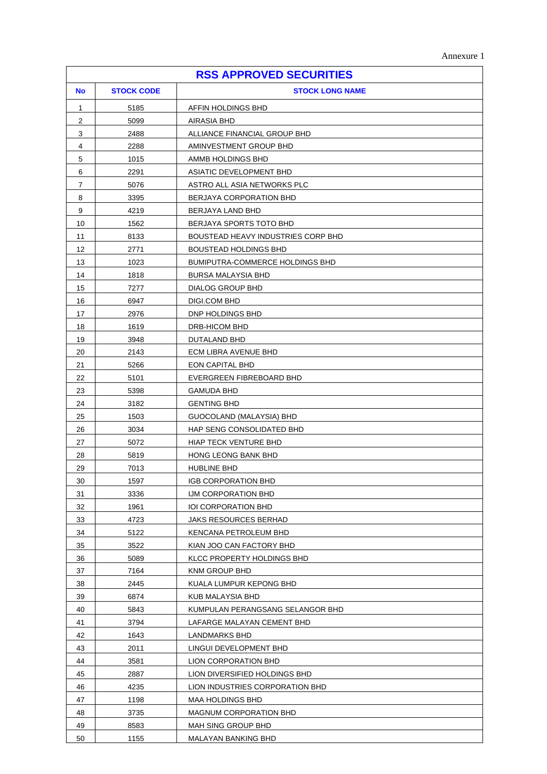|  | Annexure 1 |  |
|--|------------|--|
|--|------------|--|

|              |                   | <b>RSS APPROVED SECURITIES</b>                 |
|--------------|-------------------|------------------------------------------------|
| <b>No</b>    | <b>STOCK CODE</b> | <b>STOCK LONG NAME</b>                         |
| $\mathbf{1}$ | 5185              | AFFIN HOLDINGS BHD                             |
| 2            | 5099              | AIRASIA BHD                                    |
| 3            | 2488              | ALLIANCE FINANCIAL GROUP BHD                   |
| 4            | 2288              | AMINVESTMENT GROUP BHD                         |
| 5            | 1015              | AMMB HOLDINGS BHD                              |
| 6            | 2291              | ASIATIC DEVELOPMENT BHD                        |
| 7            | 5076              | ASTRO ALL ASIA NETWORKS PLC                    |
| 8            | 3395              | BERJAYA CORPORATION BHD                        |
| 9            | 4219              | BERJAYA LAND BHD                               |
| 10           | 1562              | BERJAYA SPORTS TOTO BHD                        |
| 11           | 8133              | BOUSTEAD HEAVY INDUSTRIES CORP BHD             |
| 12           | 2771              | <b>BOUSTEAD HOLDINGS BHD</b>                   |
| 13           | 1023              | BUMIPUTRA-COMMERCE HOLDINGS BHD                |
| 14           | 1818              | BURSA MALAYSIA BHD                             |
| 15           | 7277              | DIALOG GROUP BHD                               |
| 16           | 6947              | DIGI.COM BHD                                   |
| 17           | 2976              | DNP HOLDINGS BHD                               |
| 18           | 1619              | DRB-HICOM BHD                                  |
| 19           | 3948              | DUTALAND BHD                                   |
| 20           | 2143              | ECM LIBRA AVENUE BHD                           |
| 21           | 5266              | EON CAPITAL BHD                                |
| 22           | 5101              | EVERGREEN FIBREBOARD BHD                       |
| 23           | 5398              | GAMUDA BHD                                     |
| 24           | 3182              | <b>GENTING BHD</b>                             |
| 25           | 1503              | GUOCOLAND (MALAYSIA) BHD                       |
| 26           | 3034              | HAP SENG CONSOLIDATED BHD                      |
| 27           | 5072              | <b>HIAP TECK VENTURE BHD</b>                   |
| 28           | 5819              | HONG LEONG BANK BHD                            |
| 29           | 7013              | HUBLINE BHD                                    |
| $30\,$       | 1597              | IGB CORPORATION BHD                            |
| 31           | 3336              | IJM CORPORATION BHD                            |
| 32           | 1961              | <b>IOI CORPORATION BHD</b>                     |
| 33           | 4723              | JAKS RESOURCES BERHAD                          |
| 34           | 5122              | KENCANA PETROLEUM BHD                          |
| 35           | 3522              | KIAN JOO CAN FACTORY BHD                       |
| 36           | 5089              | KLCC PROPERTY HOLDINGS BHD                     |
| 37           | 7164              | <b>KNM GROUP BHD</b>                           |
| 38           | 2445              | KUALA LUMPUR KEPONG BHD                        |
| 39           | 6874              | KUB MALAYSIA BHD                               |
| 40           | 5843              | KUMPULAN PERANGSANG SELANGOR BHD               |
| 41           | 3794              | LAFARGE MALAYAN CEMENT BHD                     |
| 42           | 1643              | LANDMARKS BHD                                  |
| 43<br>44     | 2011<br>3581      | LINGUI DEVELOPMENT BHD<br>LION CORPORATION BHD |
| 45           | 2887              | LION DIVERSIFIED HOLDINGS BHD                  |
| 46           | 4235              | LION INDUSTRIES CORPORATION BHD                |
| 47           | 1198              | MAA HOLDINGS BHD                               |
| 48           | 3735              | <b>MAGNUM CORPORATION BHD</b>                  |
| 49           | 8583              | <b>MAH SING GROUP BHD</b>                      |
| 50           | 1155              | MALAYAN BANKING BHD                            |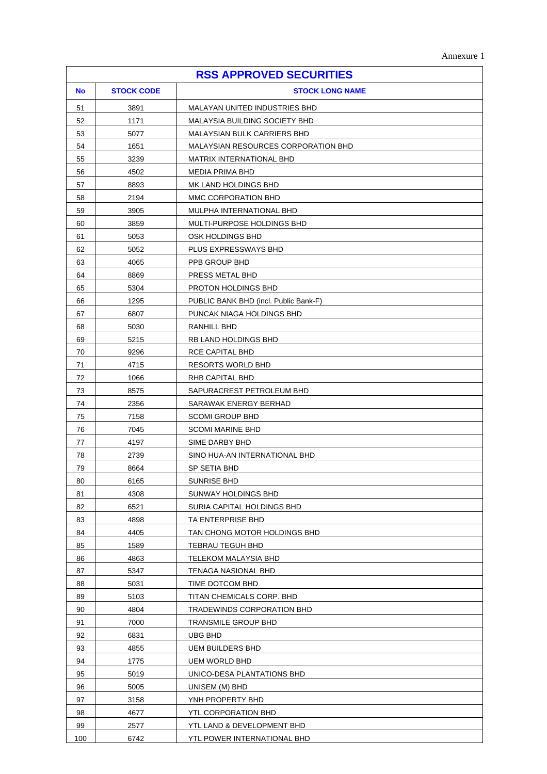| <b>RSS APPROVED SECURITIES</b> |                   |                                                 |
|--------------------------------|-------------------|-------------------------------------------------|
| <b>No</b>                      | <b>STOCK CODE</b> | <b>STOCK LONG NAME</b>                          |
| 51                             | 3891              | MALAYAN UNITED INDUSTRIES BHD                   |
| 52                             | 1171              | MALAYSIA BUILDING SOCIETY BHD                   |
| 53                             | 5077              | <b>MALAYSIAN BULK CARRIERS BHD</b>              |
| 54                             | 1651              | MALAYSIAN RESOURCES CORPORATION BHD             |
| 55                             | 3239              | MATRIX INTERNATIONAL BHD                        |
| 56                             | 4502              | <b>MEDIA PRIMA BHD</b>                          |
| 57                             | 8893              | MK LAND HOLDINGS BHD                            |
| 58                             | 2194              | MMC CORPORATION BHD                             |
| 59                             | 3905              | MULPHA INTERNATIONAL BHD                        |
| 60                             | 3859              | MULTI-PURPOSE HOLDINGS BHD                      |
| 61                             | 5053              | OSK HOLDINGS BHD                                |
| 62                             | 5052              | PLUS EXPRESSWAYS BHD                            |
| 63                             | 4065              | PPB GROUP BHD                                   |
| 64                             | 8869              | PRESS METAL BHD                                 |
| 65                             | 5304              | <b>PROTON HOLDINGS BHD</b>                      |
| 66                             | 1295              | PUBLIC BANK BHD (incl. Public Bank-F)           |
| 67                             | 6807              | PUNCAK NIAGA HOLDINGS BHD                       |
| 68                             | 5030              | RANHILL BHD                                     |
| 69                             | 5215              | RB LAND HOLDINGS BHD                            |
| 70                             | 9296              | RCE CAPITAL BHD                                 |
| 71                             | 4715              | <b>RESORTS WORLD BHD</b>                        |
| 72                             | 1066              | RHB CAPITAL BHD                                 |
| 73                             | 8575              | SAPURACREST PETROLEUM BHD                       |
| 74                             | 2356              | SARAWAK ENERGY BERHAD                           |
| 75                             | 7158              | <b>SCOMI GROUP BHD</b>                          |
| 76                             | 7045              | <b>SCOMI MARINE BHD</b>                         |
| 77                             | 4197              | SIME DARBY BHD                                  |
| 78                             | 2739              | SINO HUA-AN INTERNATIONAL BHD                   |
| 79                             | 8664              | SP SETIA BHD                                    |
| 80                             | 6165              | SUNRISE BHD                                     |
| 81                             | 4308              | SUNWAY HOLDINGS BHD                             |
| 82<br>83                       | 6521<br>4898      | SURIA CAPITAL HOLDINGS BHD<br>TA ENTERPRISE BHD |
| 84                             | 4405              | TAN CHONG MOTOR HOLDINGS BHD                    |
| 85                             | 1589              | TEBRAU TEGUH BHD                                |
| 86                             | 4863              | TELEKOM MALAYSIA BHD                            |
| 87                             | 5347              | TENAGA NASIONAL BHD                             |
| 88                             | 5031              | TIME DOTCOM BHD                                 |
| 89                             | 5103              | TITAN CHEMICALS CORP. BHD                       |
| 90                             | 4804              | TRADEWINDS CORPORATION BHD                      |
| 91                             | 7000              | TRANSMILE GROUP BHD                             |
| 92                             | 6831              | <b>UBG BHD</b>                                  |
| 93                             | 4855              | UEM BUILDERS BHD                                |
| 94                             | 1775              | UEM WORLD BHD                                   |
| 95                             | 5019              | UNICO-DESA PLANTATIONS BHD                      |
| 96                             | 5005              | UNISEM (M) BHD                                  |
| 97                             | 3158              | YNH PROPERTY BHD                                |
| 98                             | 4677              | YTL CORPORATION BHD                             |
| 99                             | 2577              | YTL LAND & DEVELOPMENT BHD                      |
| 100                            | 6742              | YTL POWER INTERNATIONAL BHD                     |